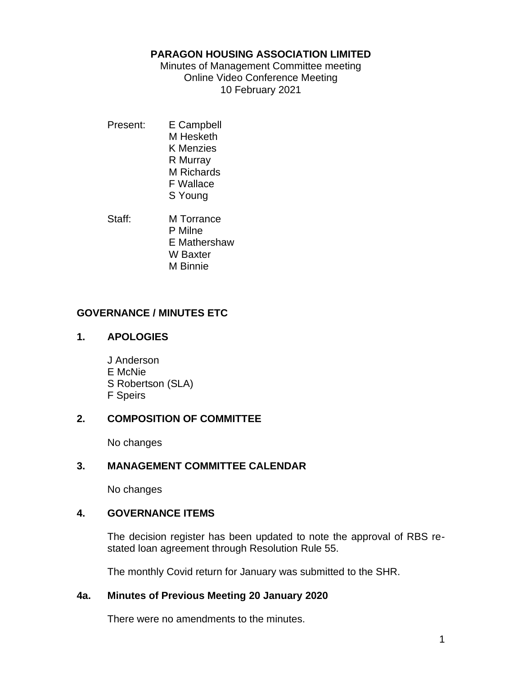## **PARAGON HOUSING ASSOCIATION LIMITED**

Minutes of Management Committee meeting Online Video Conference Meeting 10 February 2021

Present: E Campbell M Hesketh K Menzies R Murray M Richards F Wallace S Young

Staff: M Torrance P Milne E Mathershaw W Baxter M Binnie

## **GOVERNANCE / MINUTES ETC**

## **1. APOLOGIES**

J Anderson E McNie S Robertson (SLA) F Speirs

## **2. COMPOSITION OF COMMITTEE**

No changes

# **3. MANAGEMENT COMMITTEE CALENDAR**

No changes

# **4. GOVERNANCE ITEMS**

The decision register has been updated to note the approval of RBS restated loan agreement through Resolution Rule 55.

The monthly Covid return for January was submitted to the SHR.

## **4a. Minutes of Previous Meeting 20 January 2020**

There were no amendments to the minutes.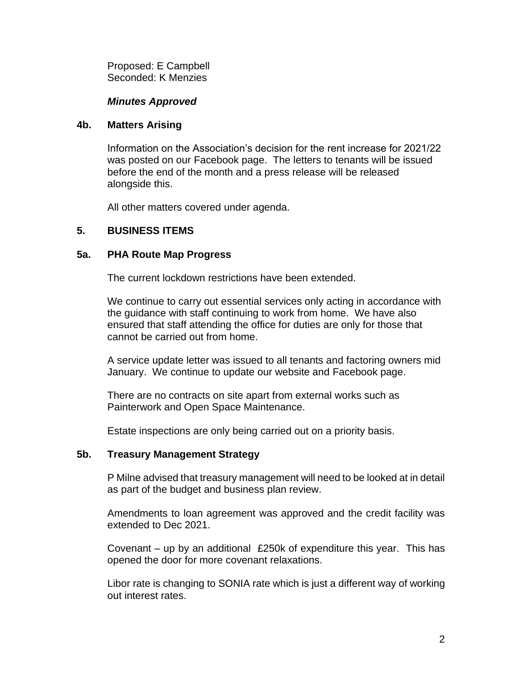Proposed: E Campbell Seconded: K Menzies

#### *Minutes Approved*

#### **4b. Matters Arising**

Information on the Association's decision for the rent increase for 2021/22 was posted on our Facebook page. The letters to tenants will be issued before the end of the month and a press release will be released alongside this.

All other matters covered under agenda.

## **5. BUSINESS ITEMS**

#### **5a. PHA Route Map Progress**

The current lockdown restrictions have been extended.

We continue to carry out essential services only acting in accordance with the guidance with staff continuing to work from home. We have also ensured that staff attending the office for duties are only for those that cannot be carried out from home.

A service update letter was issued to all tenants and factoring owners mid January. We continue to update our website and Facebook page.

There are no contracts on site apart from external works such as Painterwork and Open Space Maintenance.

Estate inspections are only being carried out on a priority basis.

## **5b. Treasury Management Strategy**

P Milne advised that treasury management will need to be looked at in detail as part of the budget and business plan review.

Amendments to loan agreement was approved and the credit facility was extended to Dec 2021.

Covenant – up by an additional £250k of expenditure this year. This has opened the door for more covenant relaxations.

Libor rate is changing to SONIA rate which is just a different way of working out interest rates.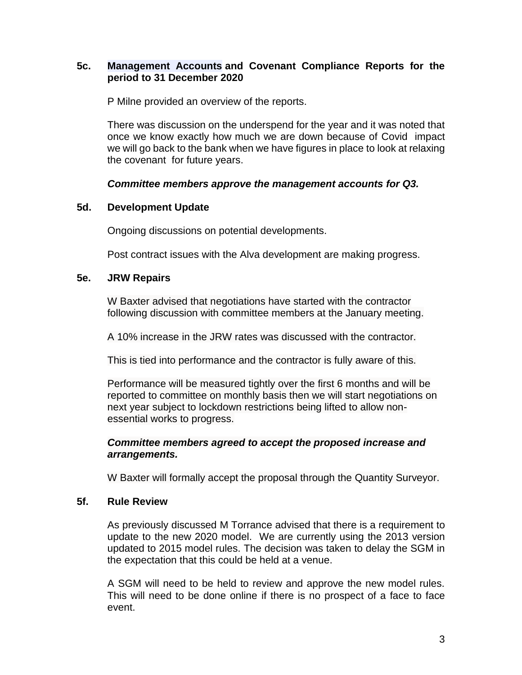## **5c. Management Accounts and Covenant Compliance Reports for the period to 31 December 2020**

P Milne provided an overview of the reports.

There was discussion on the underspend for the year and it was noted that once we know exactly how much we are down because of Covid impact we will go back to the bank when we have figures in place to look at relaxing the covenant for future years.

## *Committee members approve the management accounts for Q3.*

## **5d. Development Update**

Ongoing discussions on potential developments.

Post contract issues with the Alva development are making progress.

#### **5e. JRW Repairs**

W Baxter advised that negotiations have started with the contractor following discussion with committee members at the January meeting.

A 10% increase in the JRW rates was discussed with the contractor.

This is tied into performance and the contractor is fully aware of this.

Performance will be measured tightly over the first 6 months and will be reported to committee on monthly basis then we will start negotiations on next year subject to lockdown restrictions being lifted to allow nonessential works to progress.

#### *Committee members agreed to accept the proposed increase and arrangements.*

W Baxter will formally accept the proposal through the Quantity Surveyor.

## **5f. Rule Review**

As previously discussed M Torrance advised that there is a requirement to update to the new 2020 model. We are currently using the 2013 version updated to 2015 model rules. The decision was taken to delay the SGM in the expectation that this could be held at a venue.

A SGM will need to be held to review and approve the new model rules. This will need to be done online if there is no prospect of a face to face event.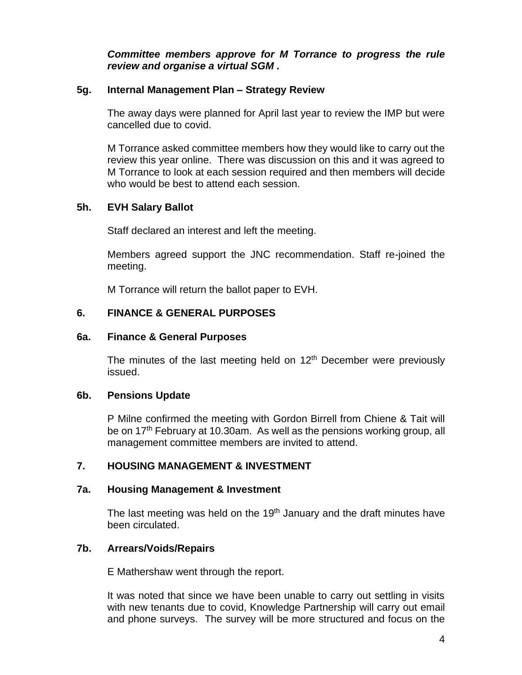*Committee members approve for M Torrance to progress the rule review and organise a virtual SGM .*

#### **5g. Internal Management Plan – Strategy Review**

The away days were planned for April last year to review the IMP but were cancelled due to covid.

M Torrance asked committee members how they would like to carry out the review this year online. There was discussion on this and it was agreed to M Torrance to look at each session required and then members will decide who would be best to attend each session.

## **5h. EVH Salary Ballot**

Staff declared an interest and left the meeting.

Members agreed support the JNC recommendation. Staff re-joined the meeting.

M Torrance will return the ballot paper to EVH.

## **6. FINANCE & GENERAL PURPOSES**

#### **6a. Finance & General Purposes**

The minutes of the last meeting held on  $12<sup>th</sup>$  December were previously issued.

## **6b. Pensions Update**

P Milne confirmed the meeting with Gordon Birrell from Chiene & Tait will be on 17<sup>th</sup> February at 10.30am. As well as the pensions working group, all management committee members are invited to attend.

## **7. HOUSING MANAGEMENT & INVESTMENT**

## **7a. Housing Management & Investment**

The last meeting was held on the 19<sup>th</sup> January and the draft minutes have been circulated.

## **7b. Arrears/Voids/Repairs**

E Mathershaw went through the report.

It was noted that since we have been unable to carry out settling in visits with new tenants due to covid, Knowledge Partnership will carry out email and phone surveys. The survey will be more structured and focus on the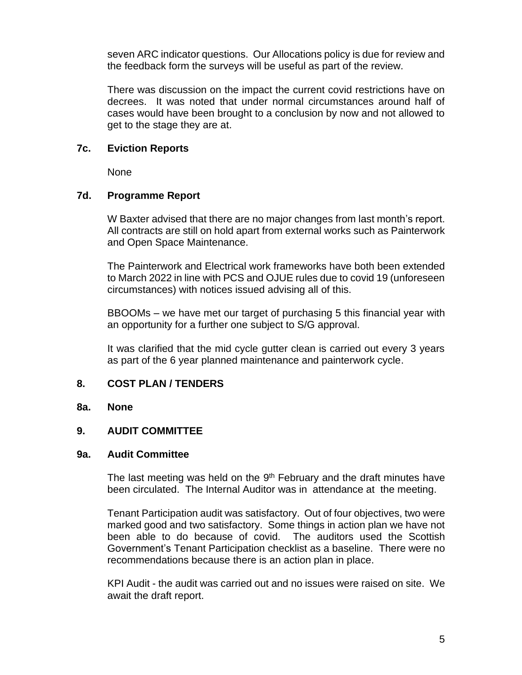seven ARC indicator questions. Our Allocations policy is due for review and the feedback form the surveys will be useful as part of the review.

There was discussion on the impact the current covid restrictions have on decrees. It was noted that under normal circumstances around half of cases would have been brought to a conclusion by now and not allowed to get to the stage they are at.

#### **7c. Eviction Reports**

None

#### **7d. Programme Report**

W Baxter advised that there are no major changes from last month's report. All contracts are still on hold apart from external works such as Painterwork and Open Space Maintenance.

The Painterwork and Electrical work frameworks have both been extended to March 2022 in line with PCS and OJUE rules due to covid 19 (unforeseen circumstances) with notices issued advising all of this.

BBOOMs – we have met our target of purchasing 5 this financial year with an opportunity for a further one subject to S/G approval.

It was clarified that the mid cycle gutter clean is carried out every 3 years as part of the 6 year planned maintenance and painterwork cycle.

## **8. COST PLAN / TENDERS**

#### **8a. None**

## **9. AUDIT COMMITTEE**

#### **9a. Audit Committee**

The last meeting was held on the 9<sup>th</sup> February and the draft minutes have been circulated. The Internal Auditor was in attendance at the meeting.

Tenant Participation audit was satisfactory. Out of four objectives, two were marked good and two satisfactory. Some things in action plan we have not been able to do because of covid. The auditors used the Scottish Government's Tenant Participation checklist as a baseline. There were no recommendations because there is an action plan in place.

KPI Audit - the audit was carried out and no issues were raised on site. We await the draft report.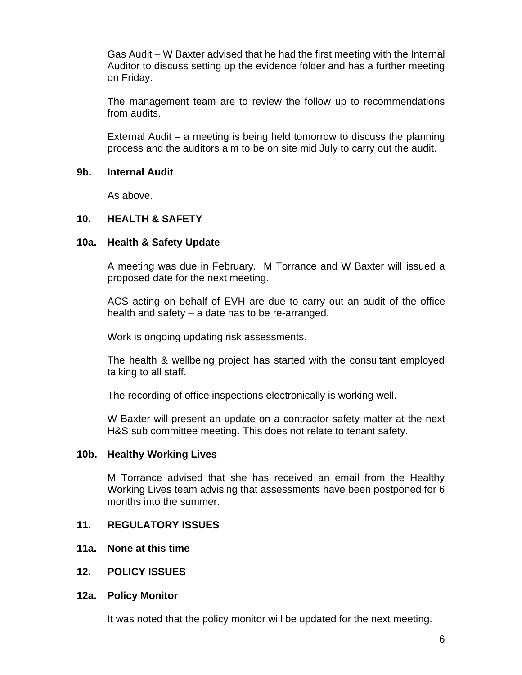Gas Audit – W Baxter advised that he had the first meeting with the Internal Auditor to discuss setting up the evidence folder and has a further meeting on Friday.

The management team are to review the follow up to recommendations from audits.

External Audit – a meeting is being held tomorrow to discuss the planning process and the auditors aim to be on site mid July to carry out the audit.

#### **9b. Internal Audit**

As above.

#### **10. HEALTH & SAFETY**

#### **10a. Health & Safety Update**

A meeting was due in February. M Torrance and W Baxter will issued a proposed date for the next meeting.

ACS acting on behalf of EVH are due to carry out an audit of the office health and safety – a date has to be re-arranged.

Work is ongoing updating risk assessments.

The health & wellbeing project has started with the consultant employed talking to all staff.

The recording of office inspections electronically is working well.

W Baxter will present an update on a contractor safety matter at the next H&S sub committee meeting. This does not relate to tenant safety.

#### **10b. Healthy Working Lives**

M Torrance advised that she has received an email from the Healthy Working Lives team advising that assessments have been postponed for 6 months into the summer.

#### **11. REGULATORY ISSUES**

- **11a. None at this time**
- **12. POLICY ISSUES**

#### **12a. Policy Monitor**

It was noted that the policy monitor will be updated for the next meeting.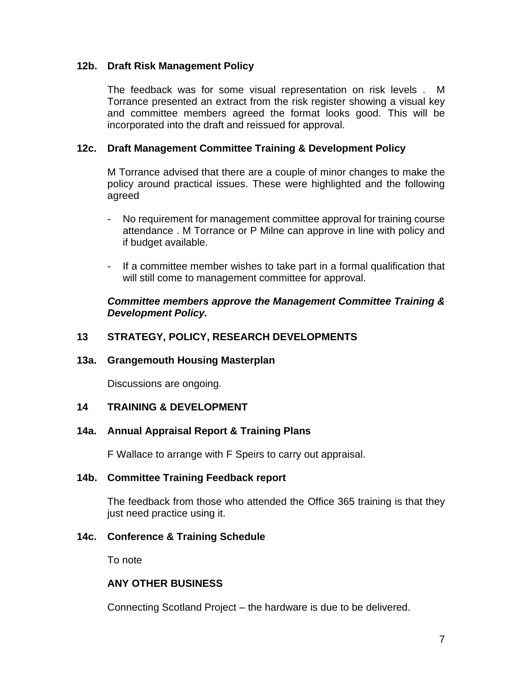## **12b. Draft Risk Management Policy**

The feedback was for some visual representation on risk levels . M Torrance presented an extract from the risk register showing a visual key and committee members agreed the format looks good. This will be incorporated into the draft and reissued for approval.

#### **12c. Draft Management Committee Training & Development Policy**

M Torrance advised that there are a couple of minor changes to make the policy around practical issues. These were highlighted and the following agreed

- No requirement for management committee approval for training course attendance . M Torrance or P Milne can approve in line with policy and if budget available.
- If a committee member wishes to take part in a formal qualification that will still come to management committee for approval.

#### *Committee members approve the Management Committee Training & Development Policy.*

## **13 STRATEGY, POLICY, RESEARCH DEVELOPMENTS**

#### **13a. Grangemouth Housing Masterplan**

Discussions are ongoing.

## **14 TRAINING & DEVELOPMENT**

## **14a. Annual Appraisal Report & Training Plans**

F Wallace to arrange with F Speirs to carry out appraisal.

#### **14b. Committee Training Feedback report**

The feedback from those who attended the Office 365 training is that they just need practice using it.

## **14c. Conference & Training Schedule**

To note

## **ANY OTHER BUSINESS**

Connecting Scotland Project – the hardware is due to be delivered.